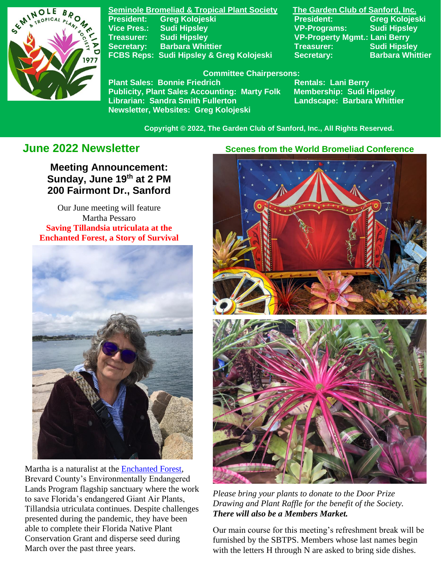

**Seminole Bromeliad & Tropical Plant Society The Garden Club of Sanford, Inc. Vice Pres.: Sudi Hipsley VP-Programs: Sudi Hipsley Treasurer: Sudi Hipsley VP-Property Mgmt.: Lani Berry Secretary:** Barbara Whittier **Network Treasurer:** Sudi Hipsley **FCBS Reps: Sudi Hipsley & Greg Kolojeski Secretary: Barbara Whittier** 

**President: Greg Kolojeski President: Greg Kolojeski** 

#### **Committee Chairpersons:**

Plant Sales: Bonnie Friedrich **Nentals: Lani Berry<br>Publicity, Plant Sales Accounting: Marty Folk Membership: Sudi Hipsley Publicity, Plant Sales Accounting: Marty Folk Librarian: Sandra Smith Fullerton Landscape: Barbara Whittier Newsletter, Websites: Greg Kolojeski**

 **Copyright © 2022, The Garden Club of Sanford, Inc., All Rights Reserved.**

# **June 2022 Newsletter**

**Meeting Announcement: Sunday, June 19th at 2 PM 200 Fairmont Dr., Sanford**

Our June meeting will feature Martha Pessaro **Saving Tillandsia utriculata at the Enchanted Forest, a Story of Survival**



Martha is a naturalist at the [Enchanted Forest,](https://www.brevardfl.gov/EELProgram/Sanctuaries/EnchantedForestSanctuary) Brevard County's Environmentally Endangered Lands Program flagship sanctuary where the work to save Florida's endangered Giant Air Plants, Tillandsia utriculata continues. Despite challenges presented during the pandemic, they have been able to complete their Florida Native Plant Conservation Grant and disperse seed during March over the past three years.

#### **Scenes from the World Bromeliad Conference**



*Please bring your plants to donate to the Door Prize Drawing and Plant Raffle for the benefit of the Society. There will also be a Members Market.*

Our main course for this meeting's refreshment break will be furnished by the SBTPS. Members whose last names begin with the letters H through N are asked to bring side dishes.